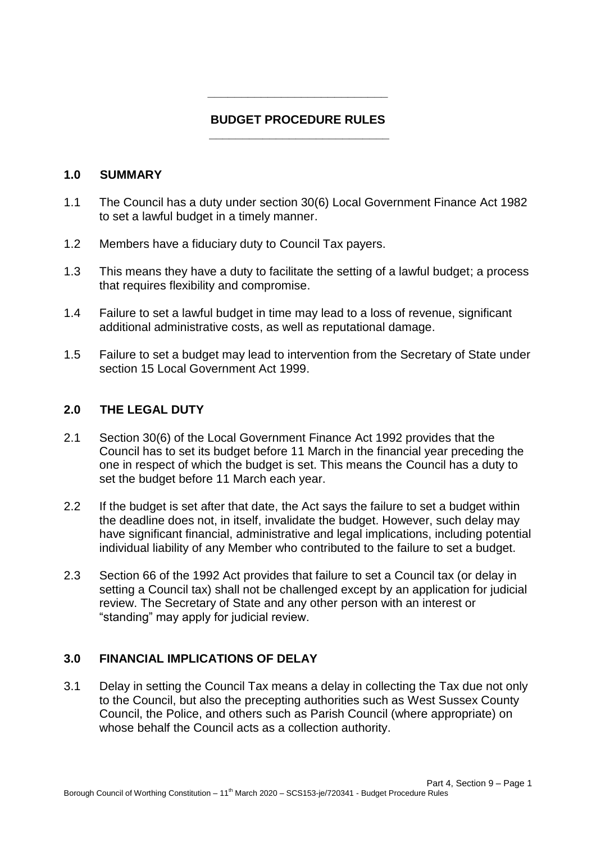### **BUDGET PROCEDURE RULES \_\_\_\_\_\_\_\_\_\_\_\_\_\_\_\_\_\_\_\_\_\_\_\_\_\_\_**

**\_\_\_\_\_\_\_\_\_\_\_\_\_\_\_\_\_\_\_\_\_\_\_\_\_\_\_** 

#### **1.0 SUMMARY**

- 1.1 The Council has a duty under section 30(6) Local Government Finance Act 1982 to set a lawful budget in a timely manner.
- 1.2 Members have a fiduciary duty to Council Tax payers.
- 1.3 This means they have a duty to facilitate the setting of a lawful budget; a process that requires flexibility and compromise.
- 1.4 Failure to set a lawful budget in time may lead to a loss of revenue, significant additional administrative costs, as well as reputational damage.
- 1.5 Failure to set a budget may lead to intervention from the Secretary of State under section 15 Local Government Act 1999.

#### **2.0 THE LEGAL DUTY**

- 2.1 Section 30(6) of the Local Government Finance Act 1992 provides that the Council has to set its budget before 11 March in the financial year preceding the one in respect of which the budget is set. This means the Council has a duty to set the budget before 11 March each year.
- 2.2 If the budget is set after that date, the Act says the failure to set a budget within the deadline does not, in itself, invalidate the budget. However, such delay may have significant financial, administrative and legal implications, including potential individual liability of any Member who contributed to the failure to set a budget.
- 2.3 Section 66 of the 1992 Act provides that failure to set a Council tax (or delay in setting a Council tax) shall not be challenged except by an application for judicial review. The Secretary of State and any other person with an interest or "standing" may apply for judicial review.

#### **3.0 FINANCIAL IMPLICATIONS OF DELAY**

3.1 Delay in setting the Council Tax means a delay in collecting the Tax due not only to the Council, but also the precepting authorities such as West Sussex County Council, the Police, and others such as Parish Council (where appropriate) on whose behalf the Council acts as a collection authority.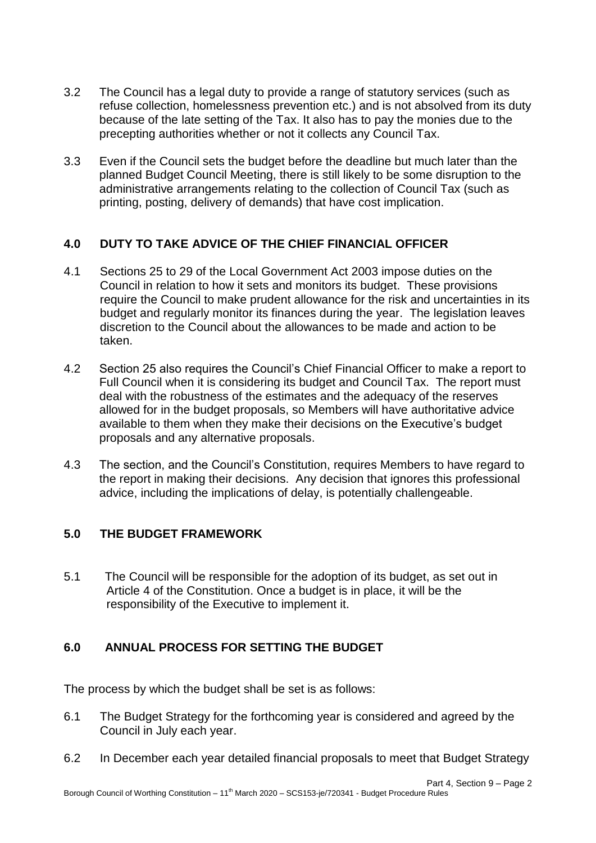- 3.2 The Council has a legal duty to provide a range of statutory services (such as refuse collection, homelessness prevention etc.) and is not absolved from its duty because of the late setting of the Tax. It also has to pay the monies due to the precepting authorities whether or not it collects any Council Tax.
- 3.3 Even if the Council sets the budget before the deadline but much later than the planned Budget Council Meeting, there is still likely to be some disruption to the administrative arrangements relating to the collection of Council Tax (such as printing, posting, delivery of demands) that have cost implication.

# **4.0 DUTY TO TAKE ADVICE OF THE CHIEF FINANCIAL OFFICER**

- 4.1 Sections 25 to 29 of the Local Government Act 2003 impose duties on the Council in relation to how it sets and monitors its budget. These provisions require the Council to make prudent allowance for the risk and uncertainties in its budget and regularly monitor its finances during the year. The legislation leaves discretion to the Council about the allowances to be made and action to be taken.
- 4.2 Section 25 also requires the Council's Chief Financial Officer to make a report to Full Council when it is considering its budget and Council Tax. The report must deal with the robustness of the estimates and the adequacy of the reserves allowed for in the budget proposals, so Members will have authoritative advice available to them when they make their decisions on the Executive's budget proposals and any alternative proposals.
- 4.3 The section, and the Council's Constitution, requires Members to have regard to the report in making their decisions. Any decision that ignores this professional advice, including the implications of delay, is potentially challengeable.

# **5.0 THE BUDGET FRAMEWORK**

5.1 The Council will be responsible for the adoption of its budget, as set out in Article 4 of the Constitution. Once a budget is in place, it will be the responsibility of the Executive to implement it.

# **6.0 ANNUAL PROCESS FOR SETTING THE BUDGET**

The process by which the budget shall be set is as follows:

- 6.1 The Budget Strategy for the forthcoming year is considered and agreed by the Council in July each year.
- 6.2 In December each year detailed financial proposals to meet that Budget Strategy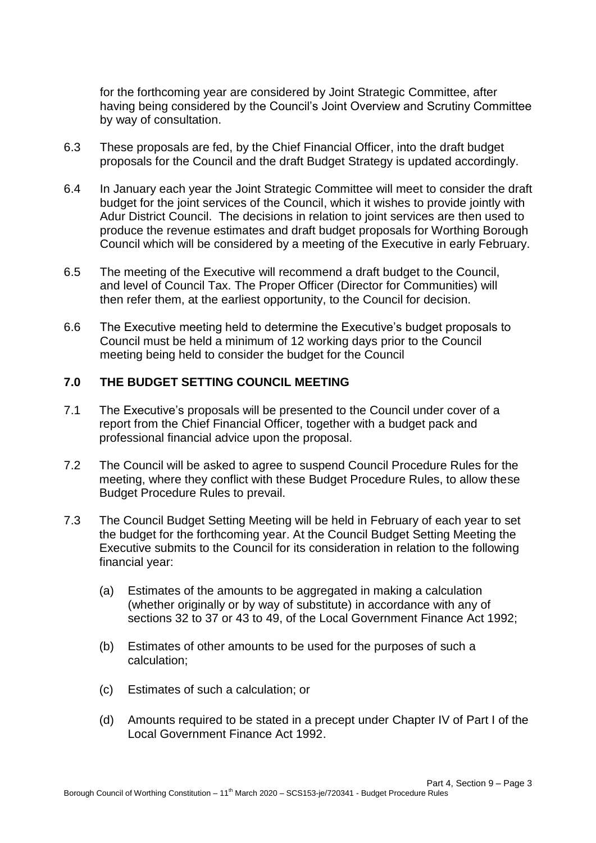for the forthcoming year are considered by Joint Strategic Committee, after having being considered by the Council's Joint Overview and Scrutiny Committee by way of consultation.

- 6.3 These proposals are fed, by the Chief Financial Officer, into the draft budget proposals for the Council and the draft Budget Strategy is updated accordingly.
- 6.4 In January each year the Joint Strategic Committee will meet to consider the draft budget for the joint services of the Council, which it wishes to provide jointly with Adur District Council. The decisions in relation to joint services are then used to produce the revenue estimates and draft budget proposals for Worthing Borough Council which will be considered by a meeting of the Executive in early February.
- 6.5 The meeting of the Executive will recommend a draft budget to the Council, and level of Council Tax. The Proper Officer (Director for Communities) will then refer them, at the earliest opportunity, to the Council for decision.
- 6.6 The Executive meeting held to determine the Executive's budget proposals to Council must be held a minimum of 12 working days prior to the Council meeting being held to consider the budget for the Council

### **7.0 THE BUDGET SETTING COUNCIL MEETING**

- 7.1 The Executive's proposals will be presented to the Council under cover of a report from the Chief Financial Officer, together with a budget pack and professional financial advice upon the proposal.
- 7.2 The Council will be asked to agree to suspend Council Procedure Rules for the meeting, where they conflict with these Budget Procedure Rules, to allow these Budget Procedure Rules to prevail.
- 7.3 The Council Budget Setting Meeting will be held in February of each year to set the budget for the forthcoming year. At the Council Budget Setting Meeting the Executive submits to the Council for its consideration in relation to the following financial year:
	- (a) Estimates of the amounts to be aggregated in making a calculation (whether originally or by way of substitute) in accordance with any of sections 32 to 37 or 43 to 49, of the Local Government Finance Act 1992;
	- (b) Estimates of other amounts to be used for the purposes of such a calculation;
	- (c) Estimates of such a calculation; or
	- (d) Amounts required to be stated in a precept under Chapter IV of Part I of the Local Government Finance Act 1992.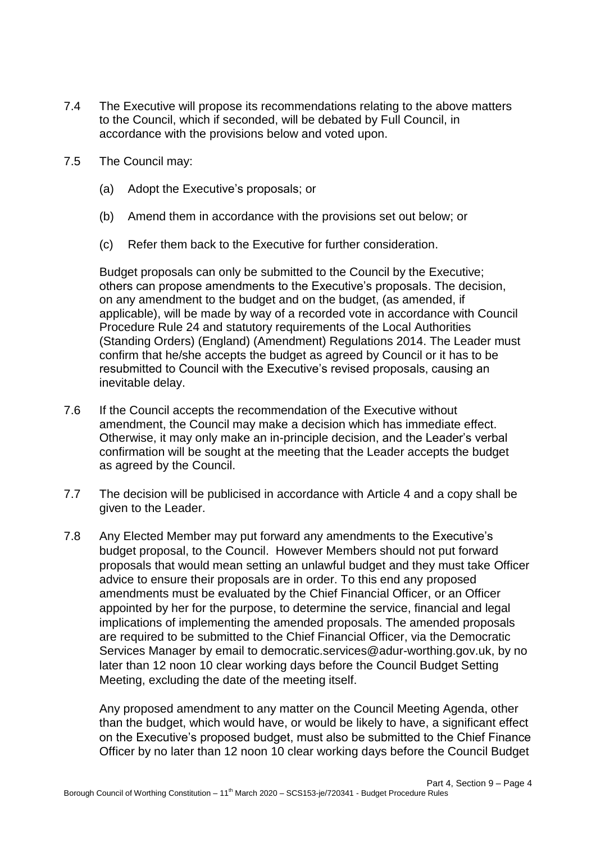- 7.4 The Executive will propose its recommendations relating to the above matters to the Council, which if seconded, will be debated by Full Council, in accordance with the provisions below and voted upon.
- 7.5 The Council may:
	- (a) Adopt the Executive's proposals; or
	- (b) Amend them in accordance with the provisions set out below; or
	- (c) Refer them back to the Executive for further consideration.

Budget proposals can only be submitted to the Council by the Executive; others can propose amendments to the Executive's proposals. The decision, on any amendment to the budget and on the budget, (as amended, if applicable), will be made by way of a recorded vote in accordance with Council Procedure Rule 24 and statutory requirements of the Local Authorities (Standing Orders) (England) (Amendment) Regulations 2014. The Leader must confirm that he/she accepts the budget as agreed by Council or it has to be resubmitted to Council with the Executive's revised proposals, causing an inevitable delay.

- 7.6 If the Council accepts the recommendation of the Executive without amendment, the Council may make a decision which has immediate effect. Otherwise, it may only make an in-principle decision, and the Leader's verbal confirmation will be sought at the meeting that the Leader accepts the budget as agreed by the Council.
- 7.7 The decision will be publicised in accordance with Article 4 and a copy shall be given to the Leader.
- 7.8 Any Elected Member may put forward any amendments to the Executive's budget proposal, to the Council. However Members should not put forward proposals that would mean setting an unlawful budget and they must take Officer advice to ensure their proposals are in order. To this end any proposed amendments must be evaluated by the Chief Financial Officer, or an Officer appointed by her for the purpose, to determine the service, financial and legal implications of implementing the amended proposals. The amended proposals are required to be submitted to the Chief Financial Officer, via the Democratic Services Manager by email to democratic.services@adur-worthing.gov.uk, by no later than 12 noon 10 clear working days before the Council Budget Setting Meeting, excluding the date of the meeting itself.

Any proposed amendment to any matter on the Council Meeting Agenda, other than the budget, which would have, or would be likely to have, a significant effect on the Executive's proposed budget, must also be submitted to the Chief Finance Officer by no later than 12 noon 10 clear working days before the Council Budget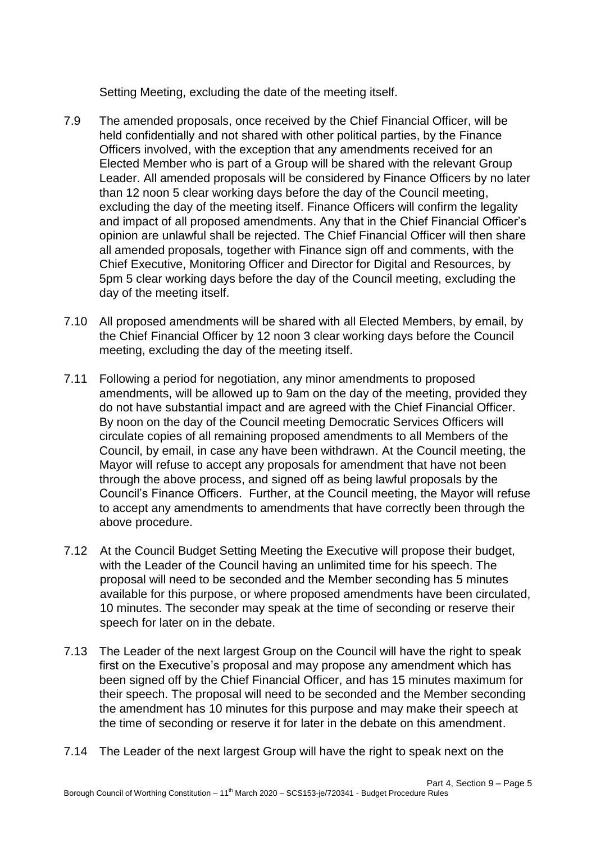Setting Meeting, excluding the date of the meeting itself.

- 7.9 The amended proposals, once received by the Chief Financial Officer, will be held confidentially and not shared with other political parties, by the Finance Officers involved, with the exception that any amendments received for an Elected Member who is part of a Group will be shared with the relevant Group Leader. All amended proposals will be considered by Finance Officers by no later than 12 noon 5 clear working days before the day of the Council meeting, excluding the day of the meeting itself. Finance Officers will confirm the legality and impact of all proposed amendments. Any that in the Chief Financial Officer's opinion are unlawful shall be rejected. The Chief Financial Officer will then share all amended proposals, together with Finance sign off and comments, with the Chief Executive, Monitoring Officer and Director for Digital and Resources, by 5pm 5 clear working days before the day of the Council meeting, excluding the day of the meeting itself.
- 7.10 All proposed amendments will be shared with all Elected Members, by email, by the Chief Financial Officer by 12 noon 3 clear working days before the Council meeting, excluding the day of the meeting itself.
- 7.11 Following a period for negotiation, any minor amendments to proposed amendments, will be allowed up to 9am on the day of the meeting, provided they do not have substantial impact and are agreed with the Chief Financial Officer. By noon on the day of the Council meeting Democratic Services Officers will circulate copies of all remaining proposed amendments to all Members of the Council, by email, in case any have been withdrawn. At the Council meeting, the Mayor will refuse to accept any proposals for amendment that have not been through the above process, and signed off as being lawful proposals by the Council's Finance Officers. Further, at the Council meeting, the Mayor will refuse to accept any amendments to amendments that have correctly been through the above procedure.
- 7.12 At the Council Budget Setting Meeting the Executive will propose their budget, with the Leader of the Council having an unlimited time for his speech. The proposal will need to be seconded and the Member seconding has 5 minutes available for this purpose, or where proposed amendments have been circulated, 10 minutes. The seconder may speak at the time of seconding or reserve their speech for later on in the debate.
- 7.13 The Leader of the next largest Group on the Council will have the right to speak first on the Executive's proposal and may propose any amendment which has been signed off by the Chief Financial Officer, and has 15 minutes maximum for their speech. The proposal will need to be seconded and the Member seconding the amendment has 10 minutes for this purpose and may make their speech at the time of seconding or reserve it for later in the debate on this amendment.
- 7.14 The Leader of the next largest Group will have the right to speak next on the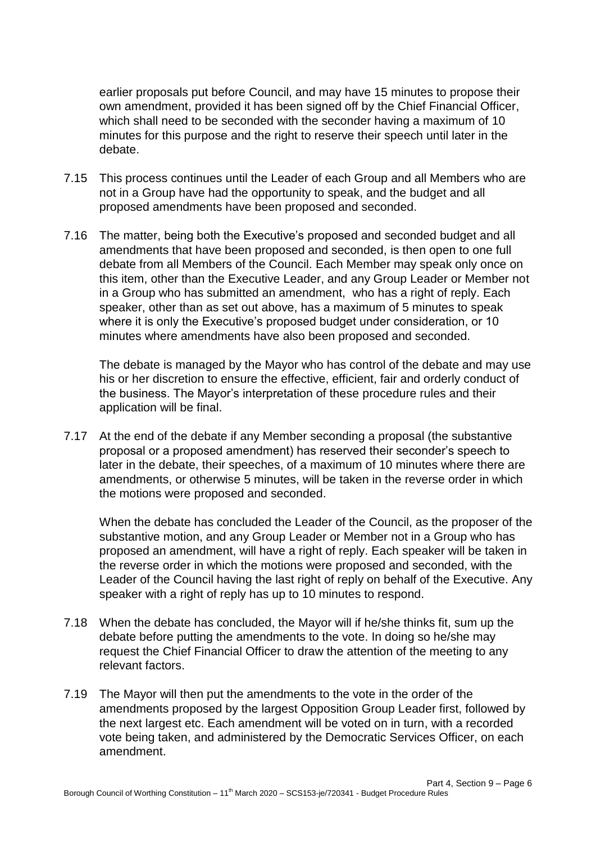earlier proposals put before Council, and may have 15 minutes to propose their own amendment, provided it has been signed off by the Chief Financial Officer, which shall need to be seconded with the seconder having a maximum of 10 minutes for this purpose and the right to reserve their speech until later in the debate.

- 7.15 This process continues until the Leader of each Group and all Members who are not in a Group have had the opportunity to speak, and the budget and all proposed amendments have been proposed and seconded.
- 7.16 The matter, being both the Executive's proposed and seconded budget and all amendments that have been proposed and seconded, is then open to one full debate from all Members of the Council. Each Member may speak only once on this item, other than the Executive Leader, and any Group Leader or Member not in a Group who has submitted an amendment, who has a right of reply. Each speaker, other than as set out above, has a maximum of 5 minutes to speak where it is only the Executive's proposed budget under consideration, or 10 minutes where amendments have also been proposed and seconded.

The debate is managed by the Mayor who has control of the debate and may use his or her discretion to ensure the effective, efficient, fair and orderly conduct of the business. The Mayor's interpretation of these procedure rules and their application will be final.

7.17 At the end of the debate if any Member seconding a proposal (the substantive proposal or a proposed amendment) has reserved their seconder's speech to later in the debate, their speeches, of a maximum of 10 minutes where there are amendments, or otherwise 5 minutes, will be taken in the reverse order in which the motions were proposed and seconded.

When the debate has concluded the Leader of the Council, as the proposer of the substantive motion, and any Group Leader or Member not in a Group who has proposed an amendment, will have a right of reply. Each speaker will be taken in the reverse order in which the motions were proposed and seconded, with the Leader of the Council having the last right of reply on behalf of the Executive. Any speaker with a right of reply has up to 10 minutes to respond.

- 7.18 When the debate has concluded, the Mayor will if he/she thinks fit, sum up the debate before putting the amendments to the vote. In doing so he/she may request the Chief Financial Officer to draw the attention of the meeting to any relevant factors.
- 7.19 The Mayor will then put the amendments to the vote in the order of the amendments proposed by the largest Opposition Group Leader first, followed by the next largest etc. Each amendment will be voted on in turn, with a recorded vote being taken, and administered by the Democratic Services Officer, on each amendment.